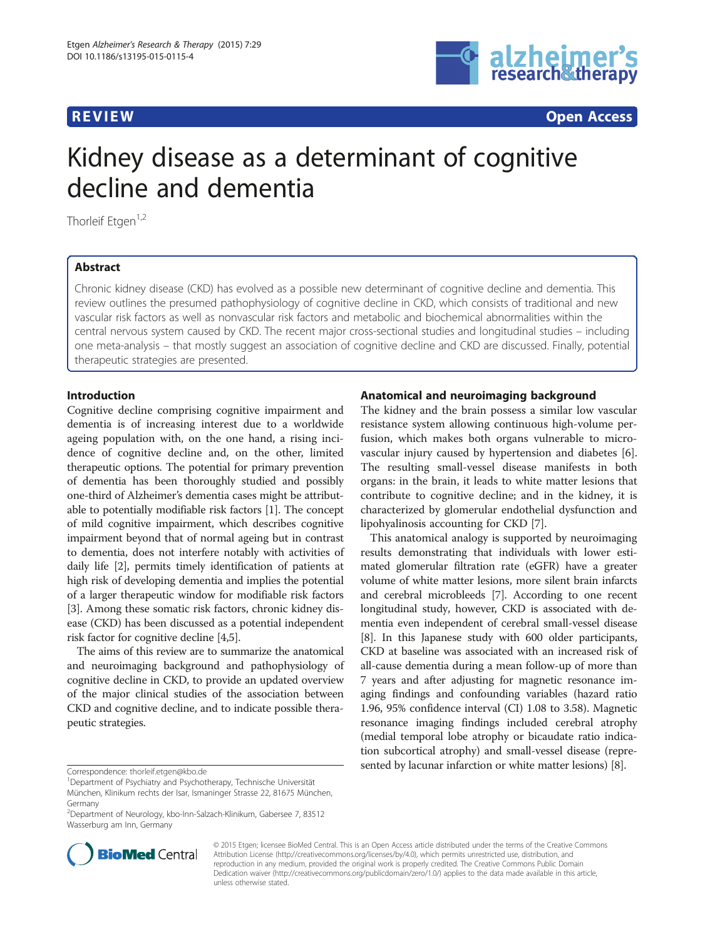

**REVIEW CONSTRUCTION CONSTRUCTION CONSTRUCTS** 

# Kidney disease as a determinant of cognitive decline and dementia

Thorleif Etgen $1,2$ 

## Abstract

Chronic kidney disease (CKD) has evolved as a possible new determinant of cognitive decline and dementia. This review outlines the presumed pathophysiology of cognitive decline in CKD, which consists of traditional and new vascular risk factors as well as nonvascular risk factors and metabolic and biochemical abnormalities within the central nervous system caused by CKD. The recent major cross-sectional studies and longitudinal studies – including one meta-analysis – that mostly suggest an association of cognitive decline and CKD are discussed. Finally, potential therapeutic strategies are presented.

#### Introduction

Cognitive decline comprising cognitive impairment and dementia is of increasing interest due to a worldwide ageing population with, on the one hand, a rising incidence of cognitive decline and, on the other, limited therapeutic options. The potential for primary prevention of dementia has been thoroughly studied and possibly one-third of Alzheimer's dementia cases might be attributable to potentially modifiable risk factors [\[1](#page-5-0)]. The concept of mild cognitive impairment, which describes cognitive impairment beyond that of normal ageing but in contrast to dementia, does not interfere notably with activities of daily life [\[2](#page-5-0)], permits timely identification of patients at high risk of developing dementia and implies the potential of a larger therapeutic window for modifiable risk factors [[3\]](#page-5-0). Among these somatic risk factors, chronic kidney disease (CKD) has been discussed as a potential independent risk factor for cognitive decline [\[4,5](#page-5-0)].

The aims of this review are to summarize the anatomical and neuroimaging background and pathophysiology of cognitive decline in CKD, to provide an updated overview of the major clinical studies of the association between CKD and cognitive decline, and to indicate possible therapeutic strategies.

<sup>2</sup> Department of Neurology, kbo-Inn-Salzach-Klinikum, Gabersee 7, 83512 Wasserburg am Inn, Germany



#### © 2015 Etgen; licensee BioMed Central. This is an Open Access article distributed under the terms of the Creative Commons Attribution License (<http://creativecommons.org/licenses/by/4.0>), which permits unrestricted use, distribution, and reproduction in any medium, provided the original work is properly credited. The Creative Commons Public Domain Dedication waiver [\(http://creativecommons.org/publicdomain/zero/1.0/](http://creativecommons.org/publicdomain/zero/1.0/)) applies to the data made available in this article, unless otherwise stated.

# Anatomical and neuroimaging background

The kidney and the brain possess a similar low vascular resistance system allowing continuous high-volume perfusion, which makes both organs vulnerable to microvascular injury caused by hypertension and diabetes [\[6](#page-5-0)]. The resulting small-vessel disease manifests in both organs: in the brain, it leads to white matter lesions that contribute to cognitive decline; and in the kidney, it is characterized by glomerular endothelial dysfunction and lipohyalinosis accounting for CKD [[7\]](#page-5-0).

This anatomical analogy is supported by neuroimaging results demonstrating that individuals with lower estimated glomerular filtration rate (eGFR) have a greater volume of white matter lesions, more silent brain infarcts and cerebral microbleeds [\[7](#page-5-0)]. According to one recent longitudinal study, however, CKD is associated with dementia even independent of cerebral small-vessel disease [[8\]](#page-5-0). In this Japanese study with 600 older participants, CKD at baseline was associated with an increased risk of all-cause dementia during a mean follow-up of more than 7 years and after adjusting for magnetic resonance imaging findings and confounding variables (hazard ratio 1.96, 95% confidence interval (CI) 1.08 to 3.58). Magnetic resonance imaging findings included cerebral atrophy (medial temporal lobe atrophy or bicaudate ratio indication subcortical atrophy) and small-vessel disease (represented by lacunar infarction or white matter lesions) [\[8](#page-5-0)]. Correspondence: [thorleif.etgen@kbo.de](mailto:thorleif.etgen@kbo.de) <sup>1</sup>

Department of Psychiatry and Psychotherapy, Technische Universität München, Klinikum rechts der Isar, Ismaninger Strasse 22, 81675 München, Germany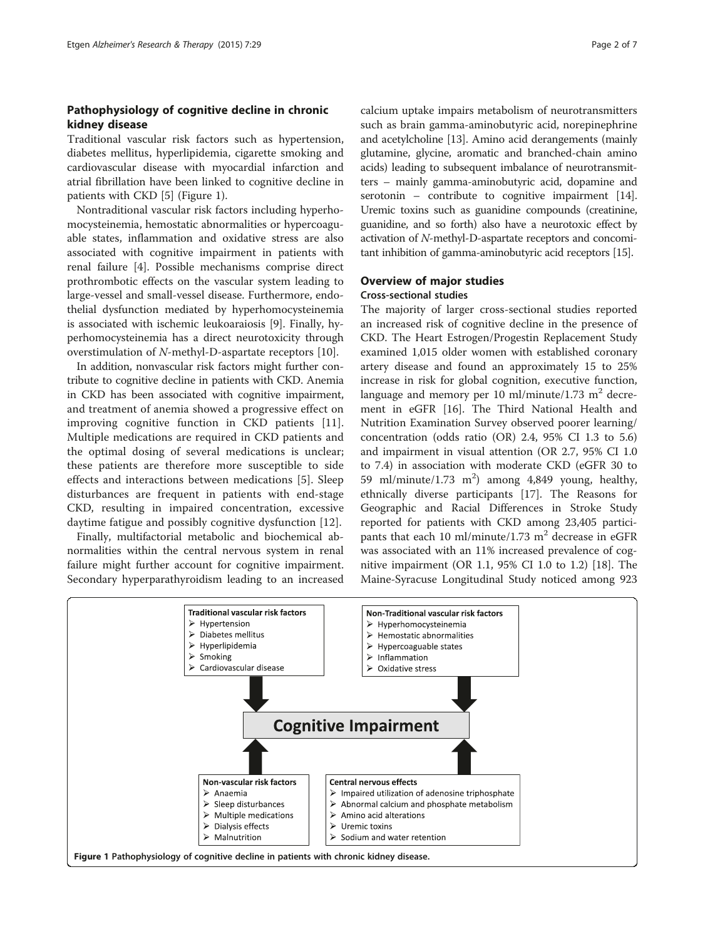#### Pathophysiology of cognitive decline in chronic kidney disease

Traditional vascular risk factors such as hypertension, diabetes mellitus, hyperlipidemia, cigarette smoking and cardiovascular disease with myocardial infarction and atrial fibrillation have been linked to cognitive decline in patients with CKD [\[5](#page-5-0)] (Figure 1).

Nontraditional vascular risk factors including hyperhomocysteinemia, hemostatic abnormalities or hypercoaguable states, inflammation and oxidative stress are also associated with cognitive impairment in patients with renal failure [\[4\]](#page-5-0). Possible mechanisms comprise direct prothrombotic effects on the vascular system leading to large-vessel and small-vessel disease. Furthermore, endothelial dysfunction mediated by hyperhomocysteinemia is associated with ischemic leukoaraiosis [[9\]](#page-5-0). Finally, hyperhomocysteinemia has a direct neurotoxicity through overstimulation of N-methyl-D-aspartate receptors [\[10](#page-5-0)].

In addition, nonvascular risk factors might further contribute to cognitive decline in patients with CKD. Anemia in CKD has been associated with cognitive impairment, and treatment of anemia showed a progressive effect on improving cognitive function in CKD patients [\[11](#page-5-0)]. Multiple medications are required in CKD patients and the optimal dosing of several medications is unclear; these patients are therefore more susceptible to side effects and interactions between medications [\[5](#page-5-0)]. Sleep disturbances are frequent in patients with end-stage CKD, resulting in impaired concentration, excessive daytime fatigue and possibly cognitive dysfunction [\[12](#page-5-0)].

Finally, multifactorial metabolic and biochemical abnormalities within the central nervous system in renal failure might further account for cognitive impairment. Secondary hyperparathyroidism leading to an increased calcium uptake impairs metabolism of neurotransmitters such as brain gamma-aminobutyric acid, norepinephrine and acetylcholine [[13](#page-5-0)]. Amino acid derangements (mainly glutamine, glycine, aromatic and branched-chain amino acids) leading to subsequent imbalance of neurotransmitters – mainly gamma-aminobutyric acid, dopamine and serotonin – contribute to cognitive impairment [[14](#page-5-0)]. Uremic toxins such as guanidine compounds (creatinine, guanidine, and so forth) also have a neurotoxic effect by activation of N-methyl-D-aspartate receptors and concomitant inhibition of gamma-aminobutyric acid receptors [\[15](#page-5-0)].

#### Overview of major studies Cross-sectional studies

The majority of larger cross-sectional studies reported an increased risk of cognitive decline in the presence of CKD. The Heart Estrogen/Progestin Replacement Study examined 1,015 older women with established coronary artery disease and found an approximately 15 to 25% increase in risk for global cognition, executive function, language and memory per 10 ml/minute/1.73 m<sup>2</sup> decrement in eGFR [[16](#page-5-0)]. The Third National Health and Nutrition Examination Survey observed poorer learning/ concentration (odds ratio (OR) 2.4, 95% CI 1.3 to 5.6) and impairment in visual attention (OR 2.7, 95% CI 1.0 to 7.4) in association with moderate CKD (eGFR 30 to 59 ml/minute/1.73 m<sup>2</sup>) among 4,849 young, healthy, ethnically diverse participants [\[17\]](#page-5-0). The Reasons for Geographic and Racial Differences in Stroke Study reported for patients with CKD among 23,405 participants that each 10 ml/minute/1.73  $m<sup>2</sup>$  decrease in eGFR was associated with an 11% increased prevalence of cognitive impairment (OR 1.1, 95% CI 1.0 to 1.2) [[18\]](#page-5-0). The Maine-Syracuse Longitudinal Study noticed among 923

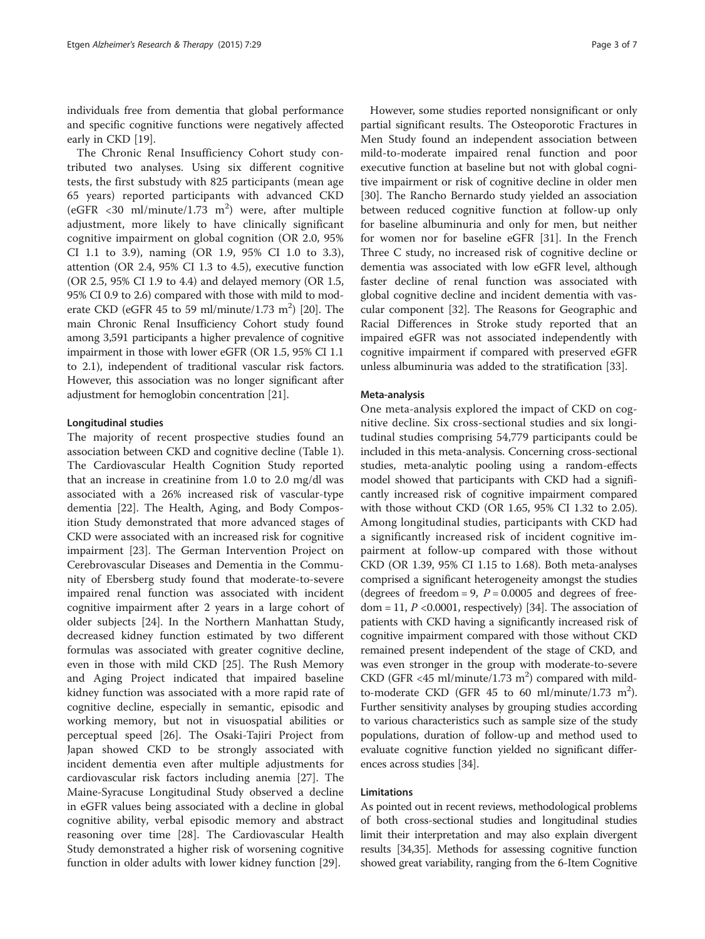individuals free from dementia that global performance and specific cognitive functions were negatively affected early in CKD [\[19](#page-5-0)].

The Chronic Renal Insufficiency Cohort study contributed two analyses. Using six different cognitive tests, the first substudy with 825 participants (mean age 65 years) reported participants with advanced CKD (eGFR <30 ml/minute/1.73 m<sup>2</sup>) were, after multiple adjustment, more likely to have clinically significant cognitive impairment on global cognition (OR 2.0, 95% CI 1.1 to 3.9), naming (OR 1.9, 95% CI 1.0 to 3.3), attention (OR 2.4, 95% CI 1.3 to 4.5), executive function (OR 2.5, 95% CI 1.9 to 4.4) and delayed memory (OR 1.5, 95% CI 0.9 to 2.6) compared with those with mild to moderate CKD (eGFR  $45$  to 59 ml/minute/1.73 m<sup>2</sup>) [\[20](#page-5-0)]. The main Chronic Renal Insufficiency Cohort study found among 3,591 participants a higher prevalence of cognitive impairment in those with lower eGFR (OR 1.5, 95% CI 1.1 to 2.1), independent of traditional vascular risk factors. However, this association was no longer significant after adjustment for hemoglobin concentration [\[21](#page-5-0)].

#### Longitudinal studies

The majority of recent prospective studies found an association between CKD and cognitive decline (Table [1](#page-3-0)). The Cardiovascular Health Cognition Study reported that an increase in creatinine from 1.0 to 2.0 mg/dl was associated with a 26% increased risk of vascular-type dementia [\[22](#page-6-0)]. The Health, Aging, and Body Composition Study demonstrated that more advanced stages of CKD were associated with an increased risk for cognitive impairment [\[23](#page-6-0)]. The German Intervention Project on Cerebrovascular Diseases and Dementia in the Community of Ebersberg study found that moderate-to-severe impaired renal function was associated with incident cognitive impairment after 2 years in a large cohort of older subjects [[24](#page-6-0)]. In the Northern Manhattan Study, decreased kidney function estimated by two different formulas was associated with greater cognitive decline, even in those with mild CKD [[25\]](#page-6-0). The Rush Memory and Aging Project indicated that impaired baseline kidney function was associated with a more rapid rate of cognitive decline, especially in semantic, episodic and working memory, but not in visuospatial abilities or perceptual speed [\[26\]](#page-6-0). The Osaki-Tajiri Project from Japan showed CKD to be strongly associated with incident dementia even after multiple adjustments for cardiovascular risk factors including anemia [\[27\]](#page-6-0). The Maine-Syracuse Longitudinal Study observed a decline in eGFR values being associated with a decline in global cognitive ability, verbal episodic memory and abstract reasoning over time [\[28](#page-6-0)]. The Cardiovascular Health Study demonstrated a higher risk of worsening cognitive function in older adults with lower kidney function [[29\]](#page-6-0).

However, some studies reported nonsignificant or only partial significant results. The Osteoporotic Fractures in Men Study found an independent association between mild-to-moderate impaired renal function and poor executive function at baseline but not with global cognitive impairment or risk of cognitive decline in older men [[30\]](#page-6-0). The Rancho Bernardo study yielded an association between reduced cognitive function at follow-up only for baseline albuminuria and only for men, but neither for women nor for baseline eGFR [\[31](#page-6-0)]. In the French Three C study, no increased risk of cognitive decline or dementia was associated with low eGFR level, although faster decline of renal function was associated with global cognitive decline and incident dementia with vascular component [\[32\]](#page-6-0). The Reasons for Geographic and Racial Differences in Stroke study reported that an impaired eGFR was not associated independently with cognitive impairment if compared with preserved eGFR unless albuminuria was added to the stratification [\[33](#page-6-0)].

#### Meta-analysis

One meta-analysis explored the impact of CKD on cognitive decline. Six cross-sectional studies and six longitudinal studies comprising 54,779 participants could be included in this meta-analysis. Concerning cross-sectional studies, meta-analytic pooling using a random-effects model showed that participants with CKD had a significantly increased risk of cognitive impairment compared with those without CKD (OR 1.65, 95% CI 1.32 to 2.05). Among longitudinal studies, participants with CKD had a significantly increased risk of incident cognitive impairment at follow-up compared with those without CKD (OR 1.39, 95% CI 1.15 to 1.68). Both meta-analyses comprised a significant heterogeneity amongst the studies (degrees of freedom = 9,  $P = 0.0005$  and degrees of freedom = 11,  $P \le 0.0001$ , respectively) [\[34](#page-6-0)]. The association of patients with CKD having a significantly increased risk of cognitive impairment compared with those without CKD remained present independent of the stage of CKD, and was even stronger in the group with moderate-to-severe CKD (GFR <45 ml/minute/1.73 m<sup>2</sup>) compared with mildto-moderate CKD (GFR 45 to 60 ml/minute/1.73 m<sup>2</sup>). Further sensitivity analyses by grouping studies according to various characteristics such as sample size of the study populations, duration of follow-up and method used to evaluate cognitive function yielded no significant differences across studies [[34\]](#page-6-0).

#### Limitations

As pointed out in recent reviews, methodological problems of both cross-sectional studies and longitudinal studies limit their interpretation and may also explain divergent results [\[34,35](#page-6-0)]. Methods for assessing cognitive function showed great variability, ranging from the 6-Item Cognitive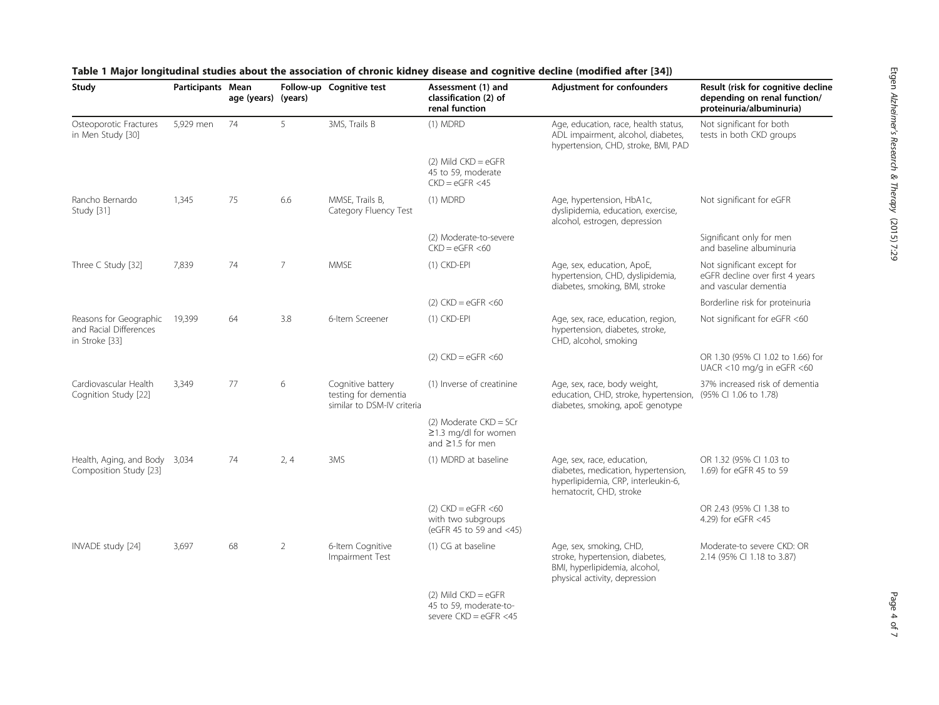| Study                                                              | Participants Mean | age (years) | (years)        | Follow-up Cognitive test                                                | Assessment (1) and<br>classification (2) of<br>renal function                 | <b>Adjustment for confounders</b>                                                                                                   | Result (risk for cognitive decline<br>depending on renal function/<br>proteinuria/albuminuria) |
|--------------------------------------------------------------------|-------------------|-------------|----------------|-------------------------------------------------------------------------|-------------------------------------------------------------------------------|-------------------------------------------------------------------------------------------------------------------------------------|------------------------------------------------------------------------------------------------|
| Osteoporotic Fractures<br>in Men Study [30]                        | 5,929 men         | 74          | 5              | 3MS, Trails B                                                           | $(1)$ MDRD                                                                    | Age, education, race, health status,<br>ADL impairment, alcohol, diabetes,<br>hypertension, CHD, stroke, BMI, PAD                   | Not significant for both<br>tests in both CKD groups                                           |
|                                                                    |                   |             |                |                                                                         | $(2)$ Mild $CKD = eGFR$<br>45 to 59, moderate<br>$CKD = eGFR < 45$            |                                                                                                                                     |                                                                                                |
| Rancho Bernardo<br>Study [31]                                      | 1,345             | 75          | 6.6            | MMSE, Trails B,<br>Category Fluency Test                                | $(1)$ MDRD                                                                    | Age, hypertension, HbA1c,<br>dyslipidemia, education, exercise,<br>alcohol, estrogen, depression                                    | Not significant for eGFR                                                                       |
|                                                                    |                   |             |                |                                                                         | (2) Moderate-to-severe<br>$CKD = eGFR < 60$                                   |                                                                                                                                     | Significant only for men<br>and baseline albuminuria                                           |
| Three C Study [32]                                                 | 7,839             | 74          | $\overline{7}$ | <b>MMSE</b>                                                             | (1) CKD-EPI                                                                   | Age, sex, education, ApoE,<br>hypertension, CHD, dyslipidemia,<br>diabetes, smoking, BMI, stroke                                    | Not significant except for<br>eGFR decline over first 4 years<br>and vascular dementia         |
|                                                                    |                   |             |                |                                                                         | $(2)$ CKD = eGFR <60                                                          |                                                                                                                                     | Borderline risk for proteinuria                                                                |
| Reasons for Geographic<br>and Racial Differences<br>in Stroke [33] | 19,399            | 64          | 3.8            | 6-Item Screener                                                         | (1) CKD-EPI                                                                   | Age, sex, race, education, region,<br>hypertension, diabetes, stroke,<br>CHD, alcohol, smoking                                      | Not significant for eGFR <60                                                                   |
|                                                                    |                   |             |                |                                                                         | $(2)$ CKD = eGFR <60                                                          |                                                                                                                                     | OR 1.30 (95% CI 1.02 to 1.66) for<br>UACR <10 mg/g in eGFR <60                                 |
| Cardiovascular Health<br>Cognition Study [22]                      | 3,349             | 77          | 6              | Cognitive battery<br>testing for dementia<br>similar to DSM-IV criteria | (1) Inverse of creatinine                                                     | Age, sex, race, body weight,<br>education, CHD, stroke, hypertension, (95% CI 1.06 to 1.78)<br>diabetes, smoking, apoE genotype     | 37% increased risk of dementia                                                                 |
|                                                                    |                   |             |                |                                                                         | $(2)$ Moderate CKD = SCr<br>≥1.3 mg/dl for women<br>and $\geq$ 1.5 for men    |                                                                                                                                     |                                                                                                |
| Health, Aging, and Body<br>Composition Study [23]                  | 3,034             | 74          | 2, 4           | 3MS                                                                     | (1) MDRD at baseline                                                          | Age, sex, race, education,<br>diabetes, medication, hypertension,<br>hyperlipidemia, CRP, interleukin-6,<br>hematocrit, CHD, stroke | OR 1.32 (95% CI 1.03 to<br>1.69) for eGFR 45 to 59                                             |
|                                                                    |                   |             |                |                                                                         | $(2)$ CKD = eGFR <60<br>with two subgroups<br>(eGFR 45 to 59 and <45)         |                                                                                                                                     | OR 2.43 (95% CI 1.38 to<br>4.29) for eGFR <45                                                  |
| INVADE study [24]                                                  | 3,697             | 68          | $\overline{2}$ | 6-Item Cognitive<br>Impairment Test                                     | (1) CG at baseline                                                            | Age, sex, smoking, CHD,<br>stroke, hypertension, diabetes,<br>BMI, hyperlipidemia, alcohol,<br>physical activity, depression        | Moderate-to severe CKD: OR<br>2.14 (95% Cl 1.18 to 3.87)                                       |
|                                                                    |                   |             |                |                                                                         | $(2)$ Mild $CKD = eGFR$<br>45 to 59, moderate-to-<br>severe $CKD = eGFR < 45$ |                                                                                                                                     |                                                                                                |

### <span id="page-3-0"></span>Table 1 Major longitudinal studies about the association of chronic kidney disease and cognitive decline (modified after [[34\]](#page-6-0))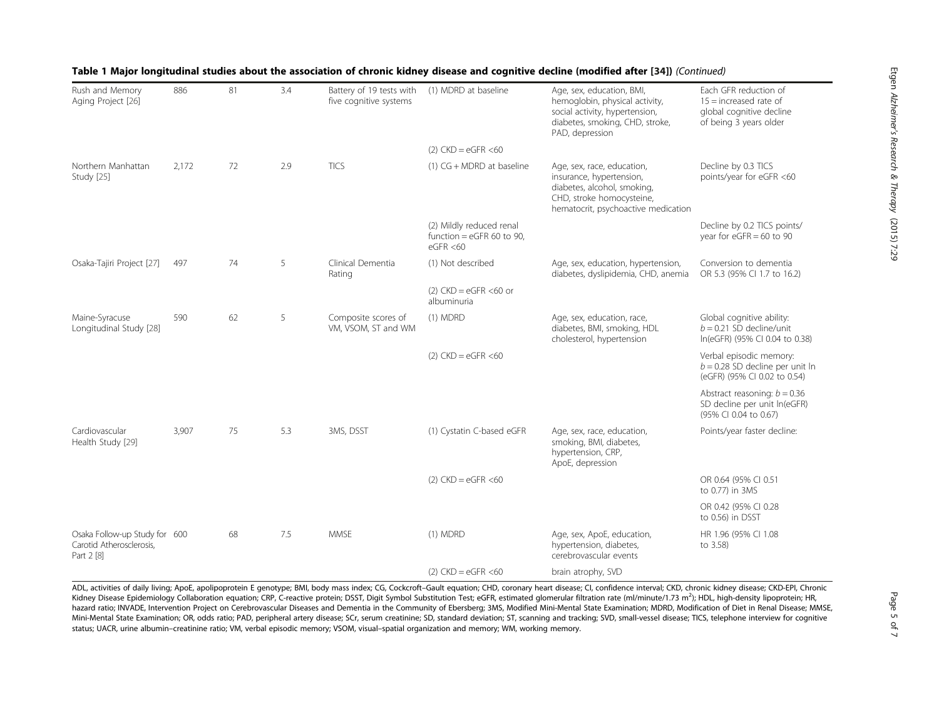| Rush and Memory<br>Aging Project [26]                                   | 886   | 81 | 3.4 | Battery of 19 tests with<br>five cognitive systems | (1) MDRD at baseline                                                 | Age, sex, education, BMI,<br>hemoglobin, physical activity,<br>social activity, hypertension,<br>diabetes, smoking, CHD, stroke,<br>PAD, depression       | Each GFR reduction of<br>$15$ = increased rate of<br>global cognitive decline<br>of being 3 years older |
|-------------------------------------------------------------------------|-------|----|-----|----------------------------------------------------|----------------------------------------------------------------------|-----------------------------------------------------------------------------------------------------------------------------------------------------------|---------------------------------------------------------------------------------------------------------|
|                                                                         |       |    |     |                                                    | $(2)$ CKD = eGFR <60                                                 |                                                                                                                                                           |                                                                                                         |
| Northern Manhattan<br>Study [25]                                        | 2,172 | 72 | 2.9 | <b>TICS</b>                                        | (1) CG + MDRD at baseline                                            | Age, sex, race, education,<br>insurance, hypertension,<br>diabetes, alcohol, smoking,<br>CHD, stroke homocysteine,<br>hematocrit, psychoactive medication | Decline by 0.3 TICS<br>points/year for eGFR <60                                                         |
|                                                                         |       |    |     |                                                    | (2) Mildly reduced renal<br>function = $eGFR$ 60 to 90,<br>eGFR < 60 |                                                                                                                                                           | Decline by 0.2 TICS points/<br>year for $eGFR = 60$ to 90                                               |
| Osaka-Tajiri Project [27]                                               | 497   | 74 | 5   | Clinical Dementia<br>Rating                        | (1) Not described                                                    | Age, sex, education, hypertension,<br>diabetes, dyslipidemia, CHD, anemia                                                                                 | Conversion to dementia<br>OR 5.3 (95% CI 1.7 to 16.2)                                                   |
|                                                                         |       |    |     |                                                    | $(2)$ CKD = eGFR <60 or<br>albuminuria                               |                                                                                                                                                           |                                                                                                         |
| Maine-Syracuse<br>Longitudinal Study [28]                               | 590   | 62 | 5   | Composite scores of<br>VM, VSOM, ST and WM         | $(1)$ MDRD                                                           | Age, sex, education, race,<br>diabetes, BMI, smoking, HDL<br>cholesterol, hypertension                                                                    | Global cognitive ability:<br>$b = 0.21$ SD decline/unit<br>In(eGFR) (95% CI 0.04 to 0.38)               |
|                                                                         |       |    |     |                                                    | $(2)$ CKD = eGFR <60                                                 |                                                                                                                                                           | Verbal episodic memory:<br>$b = 0.28$ SD decline per unit In<br>(eGFR) (95% CI 0.02 to 0.54)            |
|                                                                         |       |    |     |                                                    |                                                                      |                                                                                                                                                           | Abstract reasoning: $b = 0.36$<br>SD decline per unit In(eGFR)<br>(95% CI 0.04 to 0.67)                 |
| Cardiovascular<br>Health Study [29]                                     | 3,907 | 75 | 5.3 | 3MS, DSST                                          | (1) Cystatin C-based eGFR                                            | Age, sex, race, education,<br>smoking, BMI, diabetes,<br>hypertension, CRP,<br>ApoE, depression                                                           | Points/year faster decline:                                                                             |
|                                                                         |       |    |     |                                                    | $(2)$ CKD = eGFR <60                                                 |                                                                                                                                                           | OR 0.64 (95% CI 0.51)<br>to 0.77) in 3MS                                                                |
|                                                                         |       |    |     |                                                    |                                                                      |                                                                                                                                                           | OR 0.42 (95% CI 0.28<br>to 0.56) in DSST                                                                |
| Osaka Follow-up Study for 600<br>Carotid Atherosclerosis,<br>Part 2 [8] |       | 68 | 7.5 | <b>MMSE</b>                                        | $(1)$ MDRD                                                           | Age, sex, ApoE, education,<br>hypertension, diabetes,<br>cerebrovascular events                                                                           | HR 1.96 (95% CI 1.08<br>to 3.58)                                                                        |
|                                                                         |       |    |     |                                                    | $(2)$ CKD = eGFR <60                                                 | brain atrophy, SVD                                                                                                                                        |                                                                                                         |

Table 1 Major longitudinal studies about the association of chronic kidney disease and cognitive decline (modified after [34]) (Continued)

ADL, activities of daily living; ApoE, apolipoprotein E genotype; BMI, body mass index; CG, Cockcroft-Gault equation; CHD, coronary heart disease; CI, confidence interval; CKD, chronic kidney disease; CKD-EPI, Chronic Kidney Disease Epidemiology Collaboration equation; CRP, C-reactive protein; DSST, Digit Symbol Substitution Test; eGFR, estimated glomerular filtration rate (ml/minute/1.73 m<sup>2</sup>); HDL, high-density lipoprotein; HR, hazard ratio; INVADE, Intervention Project on Cerebrovascular Diseases and Dementia in the Community of Ebersberg; 3MS, Modified Mini-Mental State Examination; MDRD, Modification of Diet in Renal Disease; MMSE, Mini-Mental State Examination; OR, odds ratio; PAD, peripheral artery disease; SCr, serum creatinine; SD, standard deviation; ST, scanning and tracking; SVD, small-vessel disease; TICS, telephone interview for cognitive status; UACR, urine albumin–creatinine ratio; VM, verbal episodic memory; VSOM, visual–spatial organization and memory; WM, working memory.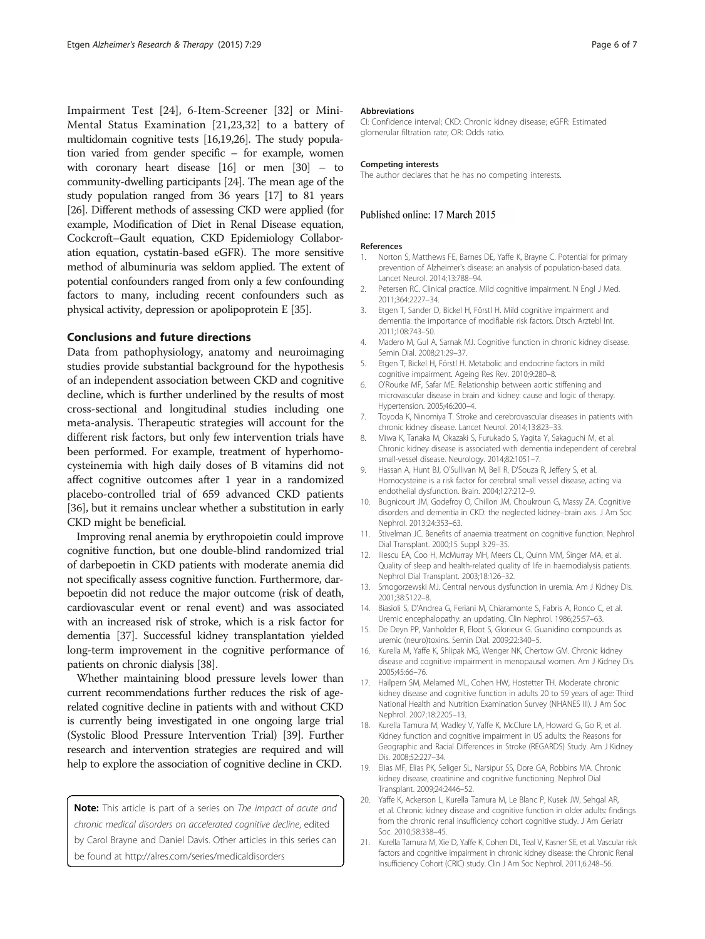<span id="page-5-0"></span>Impairment Test [[24\]](#page-6-0), 6-Item-Screener [\[32](#page-6-0)] or Mini-Mental Status Examination [21,[23,32](#page-6-0)] to a battery of multidomain cognitive tests [16,19,[26\]](#page-6-0). The study population varied from gender specific – for example, women with coronary heart disease [16] or men [\[30](#page-6-0)] – to community-dwelling participants [\[24\]](#page-6-0). The mean age of the study population ranged from 36 years [17] to 81 years [[26](#page-6-0)]. Different methods of assessing CKD were applied (for example, Modification of Diet in Renal Disease equation, Cockcroft–Gault equation, CKD Epidemiology Collaboration equation, cystatin-based eGFR). The more sensitive method of albuminuria was seldom applied. The extent of potential confounders ranged from only a few confounding factors to many, including recent confounders such as physical activity, depression or apolipoprotein E [[35](#page-6-0)].

#### Conclusions and future directions

Data from pathophysiology, anatomy and neuroimaging studies provide substantial background for the hypothesis of an independent association between CKD and cognitive decline, which is further underlined by the results of most cross-sectional and longitudinal studies including one meta-analysis. Therapeutic strategies will account for the different risk factors, but only few intervention trials have been performed. For example, treatment of hyperhomocysteinemia with high daily doses of B vitamins did not affect cognitive outcomes after 1 year in a randomized placebo-controlled trial of 659 advanced CKD patients [[36](#page-6-0)], but it remains unclear whether a substitution in early CKD might be beneficial.

Improving renal anemia by erythropoietin could improve cognitive function, but one double-blind randomized trial of darbepoetin in CKD patients with moderate anemia did not specifically assess cognitive function. Furthermore, darbepoetin did not reduce the major outcome (risk of death, cardiovascular event or renal event) and was associated with an increased risk of stroke, which is a risk factor for dementia [\[37\]](#page-6-0). Successful kidney transplantation yielded long-term improvement in the cognitive performance of patients on chronic dialysis [\[38\]](#page-6-0).

Whether maintaining blood pressure levels lower than current recommendations further reduces the risk of agerelated cognitive decline in patients with and without CKD is currently being investigated in one ongoing large trial (Systolic Blood Pressure Intervention Trial) [\[39](#page-6-0)]. Further research and intervention strategies are required and will help to explore the association of cognitive decline in CKD.

**Note:** This article is part of a series on The impact of acute and chronic medical disorders on accelerated cognitive decline, edited by Carol Brayne and Daniel Davis. Other articles in this series can be found at<http://alres.com/series/medicaldisorders>

#### Abbreviations

CI: Confidence interval; CKD: Chronic kidney disease; eGFR: Estimated glomerular filtration rate; OR: Odds ratio.

#### Competing interests

The author declares that he has no competing interests.

#### Published online: 17 March 2015

#### References

- 1. Norton S, Matthews FE, Barnes DE, Yaffe K, Brayne C. Potential for primary prevention of Alzheimer's disease: an analysis of population-based data. Lancet Neurol. 2014;13:788–94.
- 2. Petersen RC. Clinical practice. Mild cognitive impairment. N Engl J Med. 2011;364:2227–34.
- 3. Etgen T, Sander D, Bickel H, Förstl H. Mild cognitive impairment and dementia: the importance of modifiable risk factors. Dtsch Arztebl Int. 2011;108:743–50.
- 4. Madero M, Gul A, Sarnak MJ. Cognitive function in chronic kidney disease. Semin Dial. 2008;21:29–37.
- 5. Etgen T, Bickel H, Förstl H. Metabolic and endocrine factors in mild cognitive impairment. Ageing Res Rev. 2010;9:280–8.
- 6. O'Rourke MF, Safar ME. Relationship between aortic stiffening and microvascular disease in brain and kidney: cause and logic of therapy. Hypertension. 2005;46:200–4.
- 7. Toyoda K, Ninomiya T. Stroke and cerebrovascular diseases in patients with chronic kidney disease. Lancet Neurol. 2014;13:823–33.
- 8. Miwa K, Tanaka M, Okazaki S, Furukado S, Yagita Y, Sakaguchi M, et al. Chronic kidney disease is associated with dementia independent of cerebral small-vessel disease. Neurology. 2014;82:1051–7.
- 9. Hassan A, Hunt BJ, O'Sullivan M, Bell R, D'Souza R, Jeffery S, et al. Homocysteine is a risk factor for cerebral small vessel disease, acting via endothelial dysfunction. Brain. 2004;127:212–9.
- 10. Bugnicourt JM, Godefroy O, Chillon JM, Choukroun G, Massy ZA. Cognitive disorders and dementia in CKD: the neglected kidney–brain axis. J Am Soc Nephrol. 2013;24:353–63.
- 11. Stivelman JC. Benefits of anaemia treatment on cognitive function. Nephrol Dial Transplant. 2000;15 Suppl 3:29–35.
- 12. Iliescu EA, Coo H, McMurray MH, Meers CL, Quinn MM, Singer MA, et al. Quality of sleep and health-related quality of life in haemodialysis patients. Nephrol Dial Transplant. 2003;18:126–32.
- 13. Smogorzewski MJ. Central nervous dysfunction in uremia. Am J Kidney Dis. 2001;38:S122–8.
- 14. Biasioli S, D'Andrea G, Feriani M, Chiaramonte S, Fabris A, Ronco C, et al. Uremic encephalopathy: an updating. Clin Nephrol. 1986;25:57–63.
- 15. De Deyn PP, Vanholder R, Eloot S, Glorieux G. Guanidino compounds as uremic (neuro)toxins. Semin Dial. 2009;22:340–5.
- 16. Kurella M, Yaffe K, Shlipak MG, Wenger NK, Chertow GM. Chronic kidney disease and cognitive impairment in menopausal women. Am J Kidney Dis. 2005;45:66–76.
- 17. Hailpern SM, Melamed ML, Cohen HW, Hostetter TH. Moderate chronic kidney disease and cognitive function in adults 20 to 59 years of age: Third National Health and Nutrition Examination Survey (NHANES III). J Am Soc Nephrol. 2007;18:2205–13.
- 18. Kurella Tamura M, Wadley V, Yaffe K, McClure LA, Howard G, Go R, et al. Kidney function and cognitive impairment in US adults: the Reasons for Geographic and Racial Differences in Stroke (REGARDS) Study. Am J Kidney Dis. 2008;52:227–34.
- 19. Elias MF, Elias PK, Seliger SL, Narsipur SS, Dore GA, Robbins MA. Chronic kidney disease, creatinine and cognitive functioning. Nephrol Dial Transplant. 2009;24:2446–52.
- 20. Yaffe K, Ackerson L, Kurella Tamura M, Le Blanc P, Kusek JW, Sehgal AR, et al. Chronic kidney disease and cognitive function in older adults: findings from the chronic renal insufficiency cohort cognitive study. J Am Geriatr Soc. 2010;58:338–45.
- 21. Kurella Tamura M, Xie D, Yaffe K, Cohen DL, Teal V, Kasner SE, et al. Vascular risk factors and cognitive impairment in chronic kidney disease: the Chronic Renal Insufficiency Cohort (CRIC) study. Clin J Am Soc Nephrol. 2011;6:248–56.